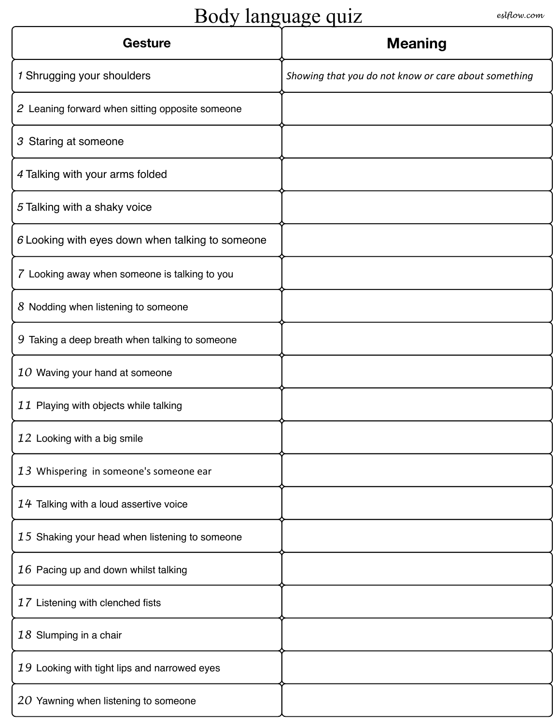# Body language quiz *eslflow.com*

| <b>Gesture</b>                                   | <b>Meaning</b>                                       |
|--------------------------------------------------|------------------------------------------------------|
| 1 Shrugging your shoulders                       | Showing that you do not know or care about something |
| 2 Leaning forward when sitting opposite someone  |                                                      |
| 3 Staring at someone                             |                                                      |
| 4 Talking with your arms folded                  |                                                      |
| 5 Talking with a shaky voice                     |                                                      |
| 6 Looking with eyes down when talking to someone |                                                      |
| 7 Looking away when someone is talking to you    |                                                      |
| 8 Nodding when listening to someone              |                                                      |
| 9 Taking a deep breath when talking to someone   |                                                      |
| 10 Waving your hand at someone                   |                                                      |
| 11 Playing with objects while talking            |                                                      |
| 12 Looking with a big smile                      |                                                      |
| 13 Whispering in someone's someone ear           |                                                      |
| 14 Talking with a loud assertive voice           |                                                      |
| 15 Shaking your head when listening to someone   |                                                      |
| 16 Pacing up and down whilst talking             |                                                      |
| 17 Listening with clenched fists                 |                                                      |
| 18 Slumping in a chair                           |                                                      |
| 19 Looking with tight lips and narrowed eyes     |                                                      |
| 20 Yawning when listening to someone             |                                                      |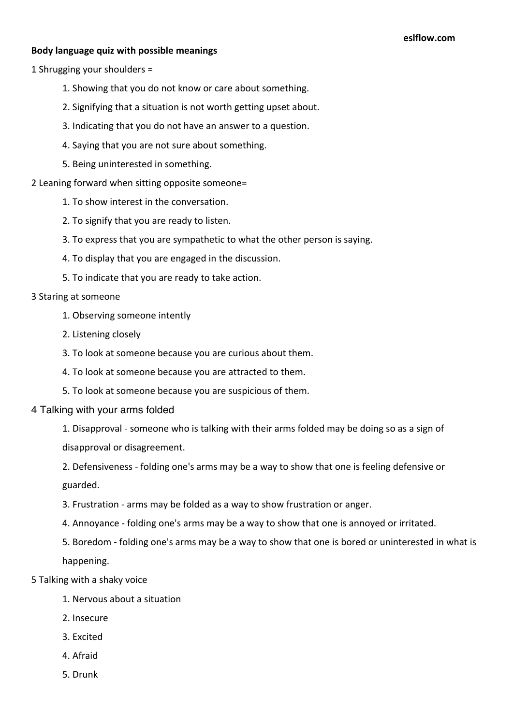## **Body language quiz with possible meanings**

1 Shrugging your shoulders =

- 1. Showing that you do not know or care about something.
- 2. Signifying that a situation is not worth getting upset about.
- 3. Indicating that you do not have an answer to a question.
- 4. Saying that you are not sure about something.
- 5. Being uninterested in something.
- 2 Leaning forward when sitting opposite someone=
	- 1. To show interest in the conversation.
	- 2. To signify that you are ready to listen.
	- 3. To express that you are sympathetic to what the other person is saying.
	- 4. To display that you are engaged in the discussion.
	- 5. To indicate that you are ready to take action.

#### 3 Staring at someone

- 1. Observing someone intently
- 2. Listening closely
- 3. To look at someone because you are curious about them.
- 4. To look at someone because you are attracted to them.
- 5. To look at someone because you are suspicious of them.
- 4 Talking with your arms folded

1. Disapproval - someone who is talking with their arms folded may be doing so as a sign of disapproval or disagreement.

2. Defensiveness - folding one's arms may be a way to show that one is feeling defensive or guarded.

- 3. Frustration arms may be folded as a way to show frustration or anger.
- 4. Annoyance folding one's arms may be a way to show that one is annoyed or irritated.
- 5. Boredom folding one's arms may be a way to show that one is bored or uninterested in what is happening.
- 5 Talking with a shaky voice
	- 1. Nervous about a situation
	- 2. Insecure
	- 3. Excited
	- 4. Afraid
	- 5. Drunk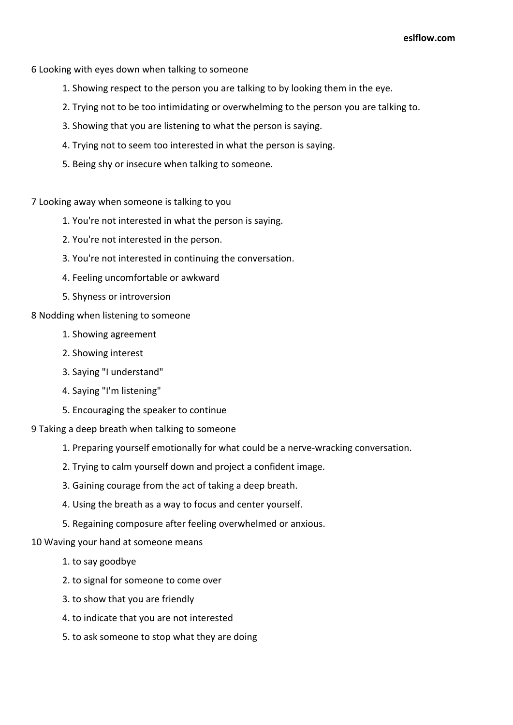- 6 Looking with eyes down when talking to someone
	- 1. Showing respect to the person you are talking to by looking them in the eye.
	- 2. Trying not to be too intimidating or overwhelming to the person you are talking to.
	- 3. Showing that you are listening to what the person is saying.
	- 4. Trying not to seem too interested in what the person is saying.
	- 5. Being shy or insecure when talking to someone.
- 7 Looking away when someone is talking to you
	- 1. You're not interested in what the person is saying.
	- 2. You're not interested in the person.
	- 3. You're not interested in continuing the conversation.
	- 4. Feeling uncomfortable or awkward
	- 5. Shyness or introversion
- 8 Nodding when listening to someone
	- 1. Showing agreement
	- 2. Showing interest
	- 3. Saying "I understand"
	- 4. Saying "I'm listening"
	- 5. Encouraging the speaker to continue
- 9 Taking a deep breath when talking to someone
	- 1. Preparing yourself emotionally for what could be a nerve-wracking conversation.
	- 2. Trying to calm yourself down and project a confident image.
	- 3. Gaining courage from the act of taking a deep breath.
	- 4. Using the breath as a way to focus and center yourself.
	- 5. Regaining composure after feeling overwhelmed or anxious.

## 10 Waving your hand at someone means

- 1. to say goodbye
- 2. to signal for someone to come over
- 3. to show that you are friendly
- 4. to indicate that you are not interested
- 5. to ask someone to stop what they are doing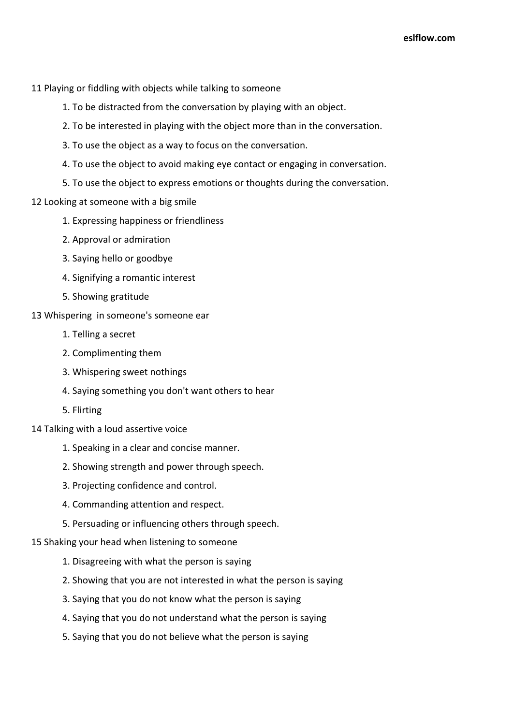- 11 Playing or fiddling with objects while talking to someone
	- 1. To be distracted from the conversation by playing with an object.
	- 2. To be interested in playing with the object more than in the conversation.
	- 3. To use the object as a way to focus on the conversation.
	- 4. To use the object to avoid making eye contact or engaging in conversation.
	- 5. To use the object to express emotions or thoughts during the conversation.
- 12 Looking at someone with a big smile
	- 1. Expressing happiness or friendliness
	- 2. Approval or admiration
	- 3. Saying hello or goodbye
	- 4. Signifying a romantic interest
	- 5. Showing gratitude
- 13 Whispering in someone's someone ear
	- 1. Telling a secret
	- 2. Complimenting them
	- 3. Whispering sweet nothings
	- 4. Saying something you don't want others to hear
	- 5. Flirting
- 14 Talking with a loud assertive voice
	- 1. Speaking in a clear and concise manner.
	- 2. Showing strength and power through speech.
	- 3. Projecting confidence and control.
	- 4. Commanding attention and respect.
	- 5. Persuading or influencing others through speech.
- 15 Shaking your head when listening to someone
	- 1. Disagreeing with what the person is saying
	- 2. Showing that you are not interested in what the person is saying
	- 3. Saying that you do not know what the person is saying
	- 4. Saying that you do not understand what the person is saying
	- 5. Saying that you do not believe what the person is saying